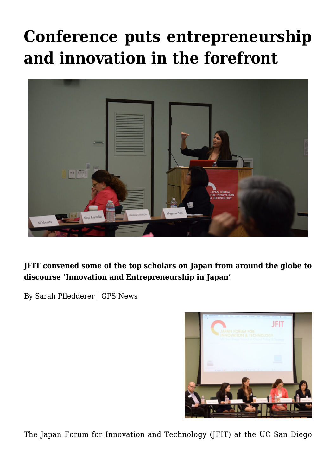## **[Conference puts entrepreneurship](https://gpsnews.ucsd.edu/conference-puts-entrepreneurship-and-innovation-in-the-forefront/) [and innovation in the forefront](https://gpsnews.ucsd.edu/conference-puts-entrepreneurship-and-innovation-in-the-forefront/)**



**JFIT convened some of the top scholars on Japan from around the globe to discourse 'Innovation and Entrepreneurship in Japan'**

By Sarah Pfledderer | GPS News



The Japan Forum for Innovation and Technology (JFIT) at the UC San Diego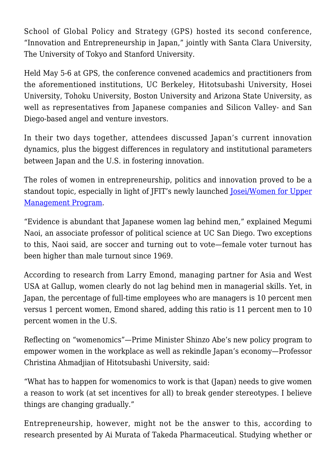School of Global Policy and Strategy (GPS) hosted its second conference, "Innovation and Entrepreneurship in Japan," jointly with Santa Clara University, The University of Tokyo and Stanford University.

Held May 5-6 at GPS, the conference convened academics and practitioners from the aforementioned institutions, UC Berkeley, Hitotsubashi University, Hosei University, Tohoku University, Boston University and Arizona State University, as well as representatives from Japanese companies and Silicon Valley- and San Diego-based angel and venture investors.

In their two days together, attendees discussed Japan's current innovation dynamics, plus the biggest differences in regulatory and institutional parameters between Japan and the U.S. in fostering innovation.

The roles of women in entrepreneurship, politics and innovation proved to be a standout topic, especially in light of JFIT's newly launched [Josei/Women for Upper](http://jfit.ucsd.edu/programs/jump.html) [Management Program](http://jfit.ucsd.edu/programs/jump.html).

"Evidence is abundant that Japanese women lag behind men," explained Megumi Naoi, an associate professor of political science at UC San Diego. Two exceptions to this, Naoi said, are soccer and turning out to vote—female voter turnout has been higher than male turnout since 1969.

According to research from Larry Emond, managing partner for Asia and West USA at Gallup, women clearly do not lag behind men in managerial skills. Yet, in Japan, the percentage of full-time employees who are managers is 10 percent men versus 1 percent women, Emond shared, adding this ratio is 11 percent men to 10 percent women in the U.S.

Reflecting on "womenomics"—Prime Minister Shinzo Abe's new policy program to empower women in the workplace as well as rekindle Japan's economy—Professor Christina Ahmadjian of Hitotsubashi University, said:

"What has to happen for womenomics to work is that (Japan) needs to give women a reason to work (at set incentives for all) to break gender stereotypes. I believe things are changing gradually."

Entrepreneurship, however, might not be the answer to this, according to research presented by Ai Murata of Takeda Pharmaceutical. Studying whether or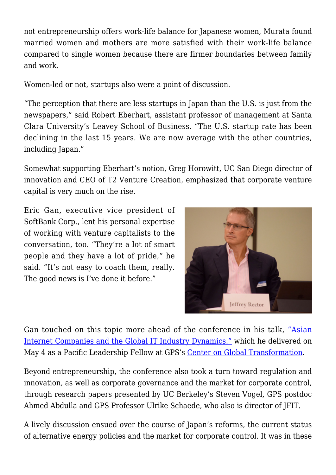not entrepreneurship offers work-life balance for Japanese women, Murata found married women and mothers are more satisfied with their work-life balance compared to single women because there are firmer boundaries between family and work.

Women-led or not, startups also were a point of discussion.

"The perception that there are less startups in Japan than the U.S. is just from the newspapers," said Robert Eberhart, assistant professor of management at Santa Clara University's Leavey School of Business. "The U.S. startup rate has been declining in the last 15 years. We are now average with the other countries, including Japan."

Somewhat supporting Eberhart's notion, Greg Horowitt, UC San Diego director of innovation and CEO of T2 Venture Creation, emphasized that corporate venture capital is very much on the rise.

Eric Gan, executive vice president of SoftBank Corp., lent his personal expertise of working with venture capitalists to the conversation, too. "They're a lot of smart people and they have a lot of pride," he said. "It's not easy to coach them, really. The good news is I've done it before."



Gan touched on this topic more ahead of the conference in his talk, ["Asian](https://www.flickr.com/gp/irps/p199Qn) [Internet Companies and the Global IT Industry Dynamics,"](https://www.flickr.com/gp/irps/p199Qn) which he delivered on May 4 as a Pacific Leadership Fellow at GPS's [Center on Global Transformation](http://cgt.ucsd.edu/).

Beyond entrepreneurship, the conference also took a turn toward regulation and innovation, as well as corporate governance and the market for corporate control, through research papers presented by UC Berkeley's Steven Vogel, GPS postdoc Ahmed Abdulla and GPS Professor Ulrike Schaede, who also is director of JFIT.

A lively discussion ensued over the course of Japan's reforms, the current status of alternative energy policies and the market for corporate control. It was in these